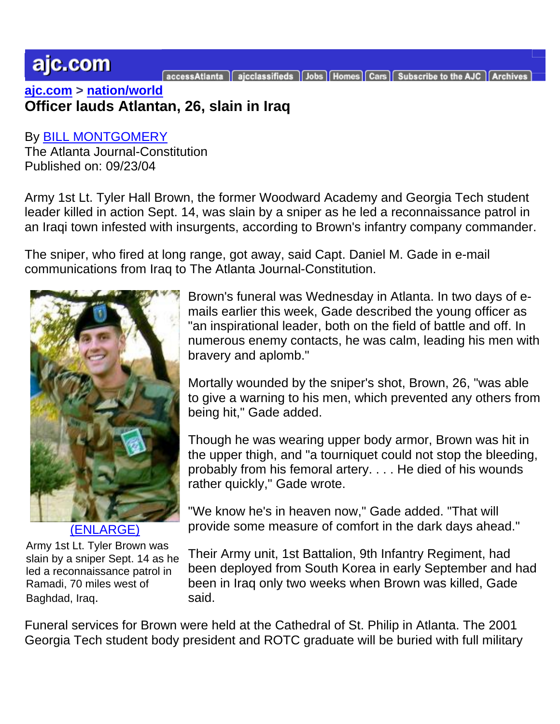## ajc.com

aicclassifieds | Jobs | Homes | Cars | Subscribe to the AJC

**[ajc.com](http://www.ajc.com/) > [nation/world](http://www.ajc.com/news/content/news/index.html) Officer lauds Atlantan, 26, slain in Iraq**

By [BILL MONTGOMERY](mailto:bmontgomery@ajc.com) The Atlanta Journal-Constitution Published on: 09/23/04

Army 1st Lt. Tyler Hall Brown, the former Woodward Academy and Georgia Tech student leader killed in action Sept. 14, was slain by a sniper as he led a reconnaissance patrol in an Iraqi town infested with insurgents, according to Brown's infantry company commander.

The sniper, who fired at long range, got away, said Capt. Daniel M. Gade in e-mail communications from Iraq to The Atlanta Journal-Constitution.



[\(ENLARGE\)](http://www.ajc.com/news/content/news/breaking/hostage/NWS_Tyler_H_Brown.html)

Army 1st Lt. Tyler Brown was slain by a sniper Sept. 14 as he led a reconnaissance patrol in Ramadi, 70 miles west of Baghdad, Iraq.

Brown's funeral was Wednesday in Atlanta. In two days of emails earlier this week, Gade described the young officer as "an inspirational leader, both on the field of battle and off. In numerous enemy contacts, he was calm, leading his men with bravery and aplomb."

Mortally wounded by the sniper's shot, Brown, 26, "was able to give a warning to his men, which prevented any others from being hit," Gade added.

Though he was wearing upper body armor, Brown was hit in the upper thigh, and "a tourniquet could not stop the bleeding, probably from his femoral artery. . . . He died of his wounds rather quickly," Gade wrote.

"We know he's in heaven now," Gade added. "That will provide some measure of comfort in the dark days ahead."

Their Army unit, 1st Battalion, 9th Infantry Regiment, had been deployed from South Korea in early September and had been in Iraq only two weeks when Brown was killed, Gade said.

Funeral services for Brown were held at the Cathedral of St. Philip in Atlanta. The 2001 Georgia Tech student body president and ROTC graduate will be buried with full military